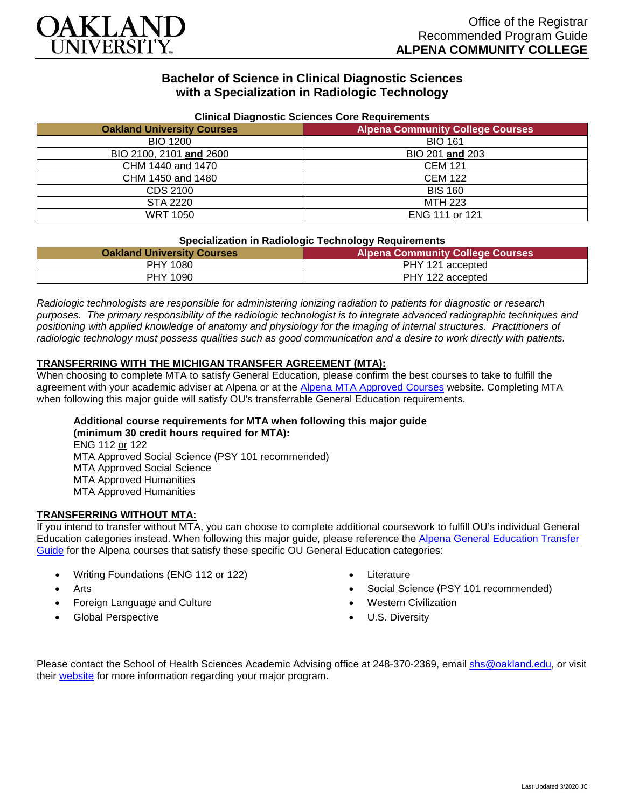

## **Bachelor of Science in Clinical Diagnostic Sciences with a Specialization in Radiologic Technology**

| <b>Uningle Diagnostic Ociences Core Requirements</b> |                                         |
|------------------------------------------------------|-----------------------------------------|
| <b>Oakland University Courses</b>                    | <b>Alpena Community College Courses</b> |
| <b>BIO 1200</b>                                      | <b>BIO 161</b>                          |
| BIO 2100, 2101 and 2600                              | BIO 201 and 203                         |
| CHM 1440 and 1470                                    | <b>CEM 121</b>                          |
| CHM 1450 and 1480                                    | <b>CEM 122</b>                          |
| CDS 2100                                             | <b>BIS 160</b>                          |
| STA 2220                                             | MTH 223                                 |
| <b>WRT 1050</b>                                      | ENG 111 or 121                          |

#### **Clinical Diagnostic Sciences Core Requirements**

#### **Specialization in Radiologic Technology Requirements**

| <b>Oakland University Courses</b> | .<br><b>Alpena Community College Courses</b> |
|-----------------------------------|----------------------------------------------|
| PHY 1080                          | PHY 121 accepted                             |
| PHY 1090                          | PHY 122 accepted                             |

*Radiologic technologists are responsible for administering ionizing radiation to patients for diagnostic or research purposes. The primary responsibility of the radiologic technologist is to integrate advanced radiographic techniques and positioning with applied knowledge of anatomy and physiology for the imaging of internal structures. Practitioners of radiologic technology must possess qualities such as good communication and a desire to work directly with patients.*

#### **TRANSFERRING WITH THE MICHIGAN TRANSFER AGREEMENT (MTA):**

When choosing to complete MTA to satisfy General Education, please confirm the best courses to take to fulfill the agreement with your academic adviser at Alpena or at the [Alpena MTA Approved Courses](https://discover.alpenacc.edu/admissions/current_students/MTA.php) website. Completing MTA when following this major guide will satisfy OU's transferrable General Education requirements.

# **Additional course requirements for MTA when following this major guide**

**(minimum 30 credit hours required for MTA):** ENG 112 or 122 MTA Approved Social Science (PSY 101 recommended) MTA Approved Social Science MTA Approved Humanities MTA Approved Humanities

#### **TRANSFERRING WITHOUT MTA:**

If you intend to transfer without MTA, you can choose to complete additional coursework to fulfill OU's individual General Education categories instead. When following this major guide, please reference the [Alpena General Education Transfer](https://www.oakland.edu/Assets/Oakland/program-guides/alpena-community-college/university-general-education-requirements/Alpena%20Gen%20Ed.pdf)  [Guide](https://www.oakland.edu/Assets/Oakland/program-guides/alpena-community-college/university-general-education-requirements/Alpena%20Gen%20Ed.pdf) for the Alpena courses that satisfy these specific OU General Education categories:

- Writing Foundations (ENG 112 or 122)
- **Arts**
- Foreign Language and Culture
- Global Perspective
- **Literature**
- Social Science (PSY 101 recommended)
- Western Civilization
- U.S. Diversity

Please contact the School of Health Sciences Academic Advising office at 248-370-2369, email [shs@oakland.edu,](mailto:shs@oakland.edu) or visit their [website](http://www.oakland.edu/shs/advising) for more information regarding your major program.